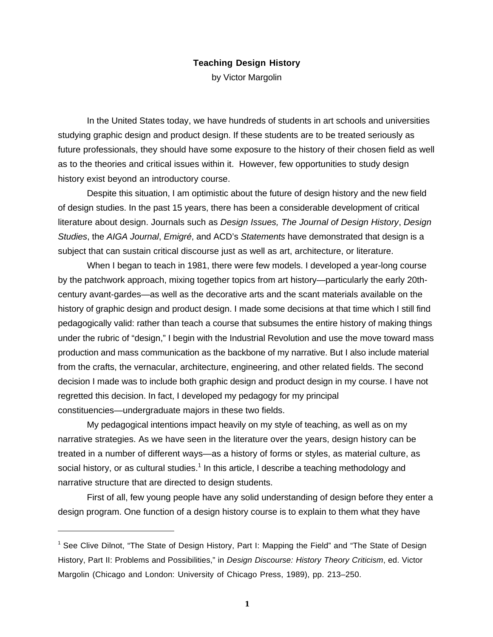## **Teaching Design History**

by Victor Margolin

In the United States today, we have hundreds of students in art schools and universities studying graphic design and product design. If these students are to be treated seriously as future professionals, they should have some exposure to the history of their chosen field as well as to the theories and critical issues within it. However, few opportunities to study design history exist beyond an introductory course.

Despite this situation, I am optimistic about the future of design history and the new field of design studies. In the past 15 years, there has been a considerable development of critical literature about design. Journals such as *Design Issues, The Journal of Design History*, *Design Studies*, the *AIGA Journal*, *Emigré*, and ACD's *Statements* have demonstrated that design is a subject that can sustain critical discourse just as well as art, architecture, or literature.

When I began to teach in 1981, there were few models. I developed a year-long course by the patchwork approach, mixing together topics from art history—particularly the early 20thcentury avant-gardes—as well as the decorative arts and the scant materials available on the history of graphic design and product design. I made some decisions at that time which I still find pedagogically valid: rather than teach a course that subsumes the entire history of making things under the rubric of "design," I begin with the Industrial Revolution and use the move toward mass production and mass communication as the backbone of my narrative. But I also include material from the crafts, the vernacular, architecture, engineering, and other related fields. The second decision I made was to include both graphic design and product design in my course. I have not regretted this decision. In fact, I developed my pedagogy for my principal constituencies—undergraduate majors in these two fields.

My pedagogical intentions impact heavily on my style of teaching, as well as on my narrative strategies. As we have seen in the literature over the years, design history can be treated in a number of different ways—as a history of forms or styles, as material culture, as social history, or as cultural studies.<sup>1</sup> In this article, I describe a teaching methodology and narrative structure that are directed to design students.

First of all, few young people have any solid understanding of design before they enter a design program. One function of a design history course is to explain to them what they have

 $\overline{a}$ 

<sup>&</sup>lt;sup>1</sup> See Clive Dilnot, "The State of Design History, Part I: Mapping the Field" and "The State of Design History, Part II: Problems and Possibilities," in *Design Discourse: History Theory Criticism*, ed. Victor Margolin (Chicago and London: University of Chicago Press, 1989), pp. 213–250.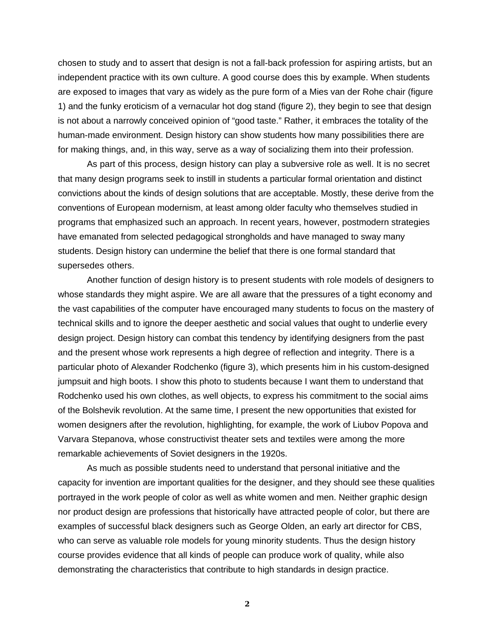chosen to study and to assert that design is not a fall-back profession for aspiring artists, but an independent practice with its own culture. A good course does this by example. When students are exposed to images that vary as widely as the pure form of a Mies van der Rohe chair (figure 1) and the funky eroticism of a vernacular hot dog stand (figure 2), they begin to see that design is not about a narrowly conceived opinion of "good taste." Rather, it embraces the totality of the human-made environment. Design history can show students how many possibilities there are for making things, and, in this way, serve as a way of socializing them into their profession.

As part of this process, design history can play a subversive role as well. It is no secret that many design programs seek to instill in students a particular formal orientation and distinct convictions about the kinds of design solutions that are acceptable. Mostly, these derive from the conventions of European modernism, at least among older faculty who themselves studied in programs that emphasized such an approach. In recent years, however, postmodern strategies have emanated from selected pedagogical strongholds and have managed to sway many students. Design history can undermine the belief that there is one formal standard that supersedes others.

Another function of design history is to present students with role models of designers to whose standards they might aspire. We are all aware that the pressures of a tight economy and the vast capabilities of the computer have encouraged many students to focus on the mastery of technical skills and to ignore the deeper aesthetic and social values that ought to underlie every design project. Design history can combat this tendency by identifying designers from the past and the present whose work represents a high degree of reflection and integrity. There is a particular photo of Alexander Rodchenko (figure 3), which presents him in his custom-designed jumpsuit and high boots. I show this photo to students because I want them to understand that Rodchenko used his own clothes, as well objects, to express his commitment to the social aims of the Bolshevik revolution. At the same time, I present the new opportunities that existed for women designers after the revolution, highlighting, for example, the work of Liubov Popova and Varvara Stepanova, whose constructivist theater sets and textiles were among the more remarkable achievements of Soviet designers in the 1920s.

As much as possible students need to understand that personal initiative and the capacity for invention are important qualities for the designer, and they should see these qualities portrayed in the work people of color as well as white women and men. Neither graphic design nor product design are professions that historically have attracted people of color, but there are examples of successful black designers such as George Olden, an early art director for CBS, who can serve as valuable role models for young minority students. Thus the design history course provides evidence that all kinds of people can produce work of quality, while also demonstrating the characteristics that contribute to high standards in design practice.

**2**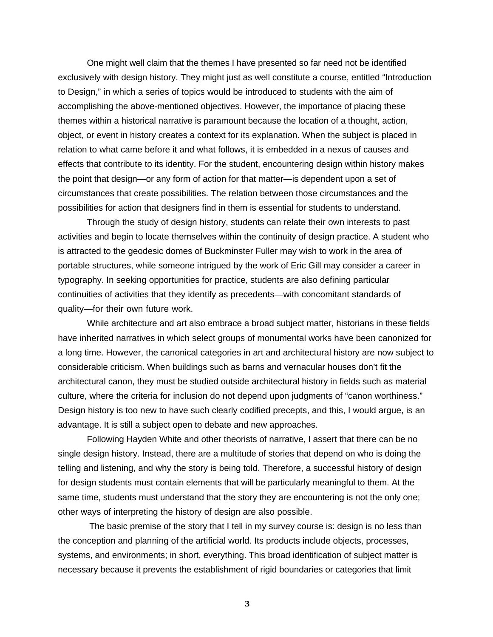One might well claim that the themes I have presented so far need not be identified exclusively with design history. They might just as well constitute a course, entitled "Introduction to Design," in which a series of topics would be introduced to students with the aim of accomplishing the above-mentioned objectives. However, the importance of placing these themes within a historical narrative is paramount because the location of a thought, action, object, or event in history creates a context for its explanation. When the subject is placed in relation to what came before it and what follows, it is embedded in a nexus of causes and effects that contribute to its identity. For the student, encountering design within history makes the point that design—or any form of action for that matter—is dependent upon a set of circumstances that create possibilities. The relation between those circumstances and the possibilities for action that designers find in them is essential for students to understand.

Through the study of design history, students can relate their own interests to past activities and begin to locate themselves within the continuity of design practice. A student who is attracted to the geodesic domes of Buckminster Fuller may wish to work in the area of portable structures, while someone intrigued by the work of Eric Gill may consider a career in typography. In seeking opportunities for practice, students are also defining particular continuities of activities that they identify as precedents—with concomitant standards of quality—for their own future work.

While architecture and art also embrace a broad subject matter, historians in these fields have inherited narratives in which select groups of monumental works have been canonized for a long time. However, the canonical categories in art and architectural history are now subject to considerable criticism. When buildings such as barns and vernacular houses don't fit the architectural canon, they must be studied outside architectural history in fields such as material culture, where the criteria for inclusion do not depend upon judgments of "canon worthiness." Design history is too new to have such clearly codified precepts, and this, I would argue, is an advantage. It is still a subject open to debate and new approaches.

Following Hayden White and other theorists of narrative, I assert that there can be no single design history. Instead, there are a multitude of stories that depend on who is doing the telling and listening, and why the story is being told. Therefore, a successful history of design for design students must contain elements that will be particularly meaningful to them. At the same time, students must understand that the story they are encountering is not the only one; other ways of interpreting the history of design are also possible.

 The basic premise of the story that I tell in my survey course is: design is no less than the conception and planning of the artificial world. Its products include objects, processes, systems, and environments; in short, everything. This broad identification of subject matter is necessary because it prevents the establishment of rigid boundaries or categories that limit

**3**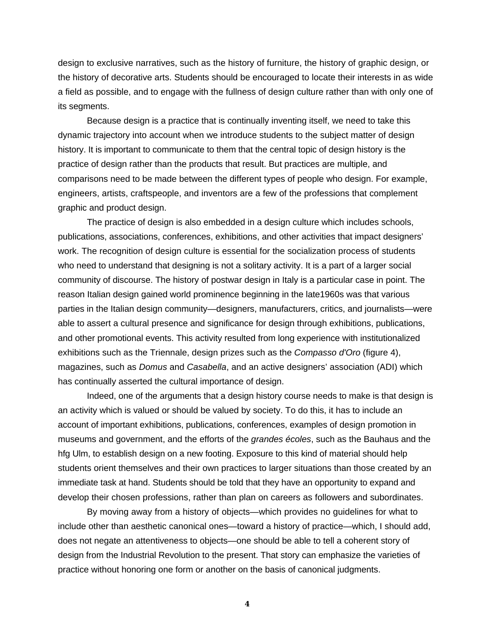design to exclusive narratives, such as the history of furniture, the history of graphic design, or the history of decorative arts. Students should be encouraged to locate their interests in as wide a field as possible, and to engage with the fullness of design culture rather than with only one of its segments.

Because design is a practice that is continually inventing itself, we need to take this dynamic trajectory into account when we introduce students to the subject matter of design history. It is important to communicate to them that the central topic of design history is the practice of design rather than the products that result. But practices are multiple, and comparisons need to be made between the different types of people who design. For example, engineers, artists, craftspeople, and inventors are a few of the professions that complement graphic and product design.

The practice of design is also embedded in a design culture which includes schools, publications, associations, conferences, exhibitions, and other activities that impact designers' work. The recognition of design culture is essential for the socialization process of students who need to understand that designing is not a solitary activity. It is a part of a larger social community of discourse. The history of postwar design in Italy is a particular case in point. The reason Italian design gained world prominence beginning in the late1960s was that various parties in the Italian design community—designers, manufacturers, critics, and journalists—were able to assert a cultural presence and significance for design through exhibitions, publications, and other promotional events. This activity resulted from long experience with institutionalized exhibitions such as the Triennale, design prizes such as the *Compasso d'Oro* (figure 4), magazines, such as *Domus* and *Casabella*, and an active designers' association (ADI) which has continually asserted the cultural importance of design.

Indeed, one of the arguments that a design history course needs to make is that design is an activity which is valued or should be valued by society. To do this, it has to include an account of important exhibitions, publications, conferences, examples of design promotion in museums and government, and the efforts of the *grandes écoles*, such as the Bauhaus and the hfg Ulm, to establish design on a new footing. Exposure to this kind of material should help students orient themselves and their own practices to larger situations than those created by an immediate task at hand. Students should be told that they have an opportunity to expand and develop their chosen professions, rather than plan on careers as followers and subordinates.

By moving away from a history of objects—which provides no guidelines for what to include other than aesthetic canonical ones—toward a history of practice—which, I should add, does not negate an attentiveness to objects—one should be able to tell a coherent story of design from the Industrial Revolution to the present. That story can emphasize the varieties of practice without honoring one form or another on the basis of canonical judgments.

**4**